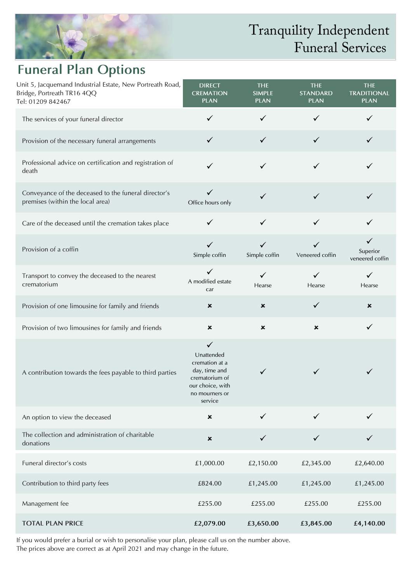

## Tranquility Independent Funeral Services

## **Funeral Plan Options**

| Unit 5, Jacquemand Industrial Estate, New Portreath Road,<br>Bridge, Portreath TR16 4QQ<br>Tel: 01209 842467 | <b>DIRECT</b><br><b>CREMATION</b><br><b>PLAN</b>                                                                                 | <b>THE</b><br><b>SIMPLE</b><br><b>PLAN</b> | <b>THE</b><br><b>STANDARD</b><br><b>PLAN</b> | <b>THE</b><br><b>TRADITIONAL</b><br><b>PLAN</b> |
|--------------------------------------------------------------------------------------------------------------|----------------------------------------------------------------------------------------------------------------------------------|--------------------------------------------|----------------------------------------------|-------------------------------------------------|
| The services of your funeral director                                                                        | ✓                                                                                                                                | $\checkmark$                               |                                              | ✓                                               |
| Provision of the necessary funeral arrangements                                                              | $\checkmark$                                                                                                                     | $\checkmark$                               | $\checkmark$                                 | $\checkmark$                                    |
| Professional advice on certification and registration of<br>death                                            | ✓                                                                                                                                | $\checkmark$                               |                                              |                                                 |
| Conveyance of the deceased to the funeral director's<br>premises (within the local area)                     | ✓<br>Office hours only                                                                                                           | $\checkmark$                               | ✓                                            | ✓                                               |
| Care of the deceased until the cremation takes place                                                         | $\checkmark$                                                                                                                     | $\checkmark$                               | $\checkmark$                                 | ✓                                               |
| Provision of a coffin                                                                                        | $\checkmark$<br>Simple coffin                                                                                                    | $\checkmark$<br>Simple coffin              | Veneered coffin                              | $\checkmark$<br>Superior<br>veneered coffin     |
| Transport to convey the deceased to the nearest<br>crematorium                                               | $\checkmark$<br>A modified estate<br>car                                                                                         | $\checkmark$<br>Hearse                     | ✓<br>Hearse                                  | ✓<br>Hearse                                     |
| Provision of one limousine for family and friends                                                            | ×                                                                                                                                | $\pmb{\times}$                             | $\checkmark$                                 | ×                                               |
| Provision of two limousines for family and friends                                                           | ×                                                                                                                                | ×                                          | ×                                            | $\checkmark$                                    |
| A contribution towards the fees payable to third parties                                                     | $\checkmark$<br>Unattended<br>cremation at a<br>day, time and<br>crematorium of<br>our choice, with<br>no mourners or<br>service | $\checkmark$                               | ✓                                            | ✓                                               |
| An option to view the deceased                                                                               | ×                                                                                                                                | ✓                                          | ✓                                            |                                                 |
| The collection and administration of charitable<br>donations                                                 | $\pmb{\times}$                                                                                                                   | ✓                                          |                                              |                                                 |
| Funeral director's costs                                                                                     | £1,000.00                                                                                                                        | £2,150.00                                  | £2,345.00                                    | £2,640.00                                       |
| Contribution to third party fees                                                                             | £824.00                                                                                                                          | £1,245.00                                  | £1,245.00                                    | £1,245.00                                       |
| Management fee                                                                                               | £255.00                                                                                                                          | £255.00                                    | £255.00                                      | £255.00                                         |
| <b>TOTAL PLAN PRICE</b>                                                                                      | £2,079.00                                                                                                                        | £3,650.00                                  | £3,845.00                                    | £4,140.00                                       |

If you would prefer a burial or wish to personalise your plan, please call us on the number above. The prices above are correct as at April 2021 and may change in the future.